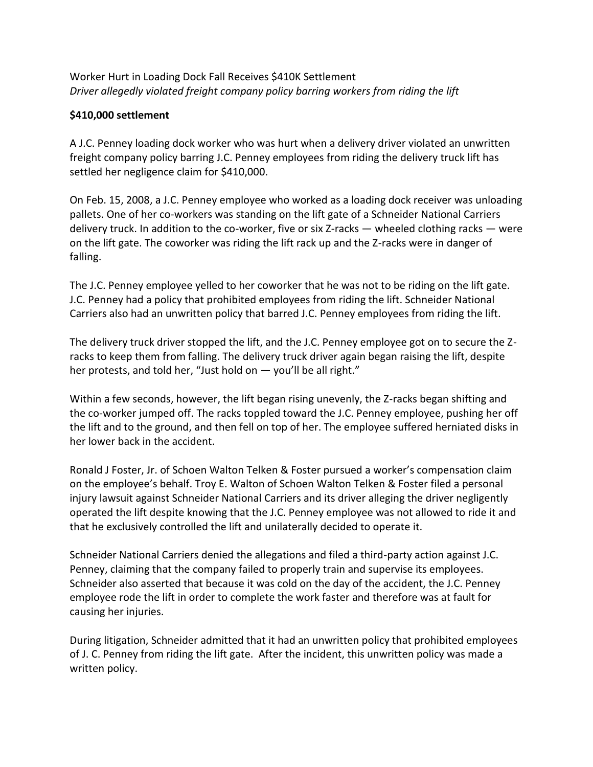Worker Hurt in Loading Dock Fall Receives \$410K Settlement *Driver allegedly violated freight company policy barring workers from riding the lift* 

## **\$410,000 settlement**

A J.C. Penney loading dock worker who was hurt when a delivery driver violated an unwritten freight company policy barring J.C. Penney employees from riding the delivery truck lift has settled her negligence claim for \$410,000.

On Feb. 15, 2008, a J.C. Penney employee who worked as a loading dock receiver was unloading pallets. One of her co-workers was standing on the lift gate of a Schneider National Carriers delivery truck. In addition to the co-worker, five or six Z-racks — wheeled clothing racks — were on the lift gate. The coworker was riding the lift rack up and the Z-racks were in danger of falling.

The J.C. Penney employee yelled to her coworker that he was not to be riding on the lift gate. J.C. Penney had a policy that prohibited employees from riding the lift. Schneider National Carriers also had an unwritten policy that barred J.C. Penney employees from riding the lift.

The delivery truck driver stopped the lift, and the J.C. Penney employee got on to secure the Zracks to keep them from falling. The delivery truck driver again began raising the lift, despite her protests, and told her, "Just hold on  $-$  you'll be all right."

Within a few seconds, however, the lift began rising unevenly, the Z-racks began shifting and the co-worker jumped off. The racks toppled toward the J.C. Penney employee, pushing her off the lift and to the ground, and then fell on top of her. The employee suffered herniated disks in her lower back in the accident.

Ronald J Foster, Jr. of Schoen Walton Telken & Foster pursued a worker's compensation claim on the employee's behalf. Troy E. Walton of Schoen Walton Telken & Foster filed a personal injury lawsuit against Schneider National Carriers and its driver alleging the driver negligently operated the lift despite knowing that the J.C. Penney employee was not allowed to ride it and that he exclusively controlled the lift and unilaterally decided to operate it.

Schneider National Carriers denied the allegations and filed a third-party action against J.C. Penney, claiming that the company failed to properly train and supervise its employees. Schneider also asserted that because it was cold on the day of the accident, the J.C. Penney employee rode the lift in order to complete the work faster and therefore was at fault for causing her injuries.

During litigation, Schneider admitted that it had an unwritten policy that prohibited employees of J. C. Penney from riding the lift gate. After the incident, this unwritten policy was made a written policy.